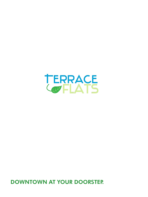

DOWNTOWN AT YOUR DOORSTEP.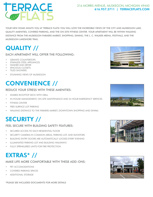# TERRACE

#### 316 MORRIS AVENUE, MUSKEGON, MICHIGAN 49440 616.957.3711 | [TERRACEFLATS.COM](http://terraceflats.com)

YOUR NEW HOME AWAITS YOU AT TERRACE FLATS! YOU WILL LOVE THE INCREDIBLE VIEWS OF THE CITY AND MUSKEGON LAKE, QUALITY AMENITIES, COVERED PARKING, AND THE ON-SITE FITNESS CENTER. YOUR APARTMENT WILL BE WITHIN WALKING DISTANCE FROM THE MUSKEGON FARMERS MARKET, SHOPPING, DINING, THE L. C. WALKER ARENA, FESTIVALS, AND THE MUSKEGON LAKESHORE TRAIL.

## QUALITY //

#### EACH APARTMENT WILL OFFER THE FOLLOWING:

- *GRANITE COUNTERTOPS*
- STAINLESS STEEL APPLIANCES
- WASHER AND DRYER
- SPACIOUS CLOSETS
- TILED SHOWERS
- STUNNING VIEWS OF MUSKEGON

## CONVENIENCE //

#### REDUCE YOUR STRESS WITH THESE AMENITIES:

- **SHARED ROOFTOP DECK WITH GRILL**
- IN-HOUSE MANAGEMENT, ON-SITE MAINTENANCE AND 24 HOUR EMERGENCY SERVICES
- FITNESS CENTER
- **FREE SURFACE LOT PARKING**
- WALKING DISTANCE TO THE FARMERS MARKET, DOWNTOWN SHOPPING AND DINING

## SECURITY //

#### FEEL SECURE WITH BUILDING SAFETY FEATURES:

- SECURED ACCESS TO FACH RESIDENTIAL FLOOR
- SECURITY CAMERAS IN COMMON AREAS, PARKING LOT, AND ELEVATORS
- BUILDING ENTRY DOORS ARE AUTOMATICALLY LOCKED EVERY EVENING
- **ILLUMINATED PARKING LOT AND BUILDING WALKWAYS**
- FULLY SPRINKLERED UNITS FOR FIRE PROTECTION

## EXTRAS\* //

MAKE LIFE MORE COMFORTABLE WITH THESE ADD-ONS:

- PET ACCOMODATIONS
- COVERED PARKING SPACES
- ADDITIONAL STORAGE









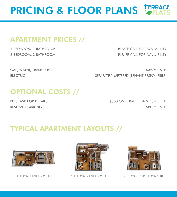# PRICING & FLOOR PLANS LERRAG

#### APARTMENT PRICES //

1 BEDROOM, 1 BATHROOM: PLEASE CALL FOR AVAILABILITY 2 BEDROOM, 2 BATHROOM: PLEASE CALL FOR AVAILABILITY

GAS, WATER, TRASH, ETC.: \$35/MONTH ELECTRIC: SEPARATELY METERED (TENANT RESPONSIBLE)

#### OPTIONAL COSTS //

PETS (ASK FOR DETAILS):  $$300$  ONE-TIME FEE + \$15/MONTH RESERVED PARKING: \$80/MONTH

#### TYPICAL APARTMENT LAYOUTS //



1 BEDROOM, 1 BATHROOM SUITE 2 BEDROOM, 2 BATHROOM SUITE





2 BEDROOM, 2 BATHROOM SUITE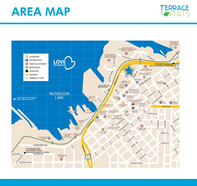# AREA MAP



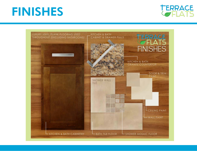## FINISHES